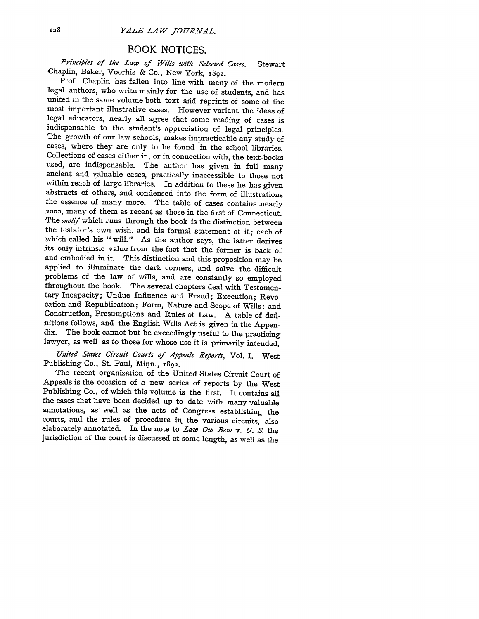## BOOK **NOTICES.**

*Principles of the Law of Wills with Selected Cases.* Stewart Chaplin, Baker, Voorhis **&** Co., New York, **1892.**

Prof. Chaplin has fallen into line with many of the modern legal authors, who write mainly for the use of students, and has united in the same volume both text and reprints of some of the most important illustrative cases. However variant the ideas of legal educators, nearly all agree that some reading of cases is indispensable to the student's appreciation of legal principles. The growth of our law schools, makes impracticable any study of cases, where they are only to be found in the school libraries. Collections of cases either in, or in connection with, the text-books used, are indispensable. The author has given in full many ancient and valuable cases, practically inaccessible to those not abstracts of others, and condensed into the form of illustrations the essence of many more. The table of cases contains nearly 2ooo, many of them as recent as those in the 61st of Connecticut. The *motif* which runs through the book is the distinction between the testator's own wish, and his formal statement of it; each of which called his "will." As the author says, the latter derives its only intrinsic value from the fact that the former is back of and embodied in it. This distinction and this proposition may be applied to illuminate the dark corners, and solve the difficult problems of the law of wills, and are constantly so employed throughout the book. The several chapters deal with Testamentary Incapacity; Undue Influence and Fraud; Execution; Revocation and Republication; Form, Nature and Scope of Wills; and Construction, Presumptions and Rules of Law. A table of definitions follows, and the English Wills Act is given in the Appendix. The book cannot but be exceedingly useful to the practicing lawyer, as well as to those for whose use it is primarily intended.

*United States Circuit Courts of Appeals Reports,* Vol. I. West Publishing Co., St. Paul, Minn., 1892.

The recent organization of the United States Circuit Court of Appeals is the occasion of a new series of reports by the West Publishing Co., of which this volume is the first. It contains all the cases that have been decided up to date with many valuable annotations, as well as the acts of Congress establishing the courts, and the rules of procedure in the various circuits, also elaborately annotated. In the note to *Law Ow Bew* v. *U. S.* the jurisdiction of the court is discussed at some length, as well as the